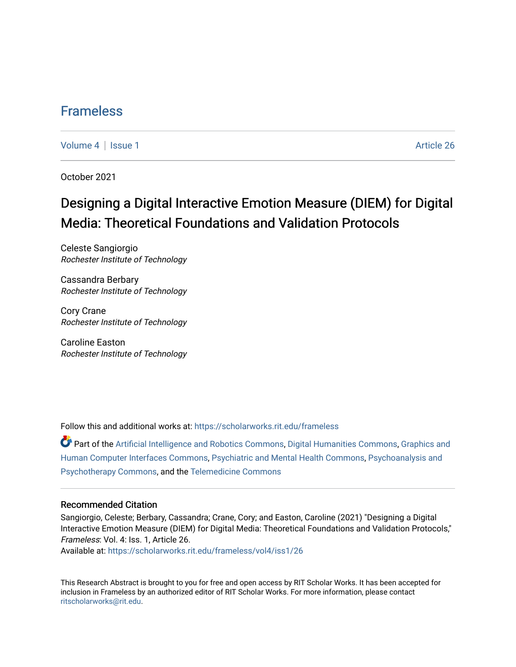### [Frameless](https://scholarworks.rit.edu/frameless)

[Volume 4](https://scholarworks.rit.edu/frameless/vol4) | [Issue 1](https://scholarworks.rit.edu/frameless/vol4/iss1) Article 26

October 2021

## Designing a Digital Interactive Emotion Measure (DIEM) for Digital Media: Theoretical Foundations and Validation Protocols

Celeste Sangiorgio Rochester Institute of Technology

Cassandra Berbary Rochester Institute of Technology

Cory Crane Rochester Institute of Technology

Caroline Easton Rochester Institute of Technology

Follow this and additional works at: [https://scholarworks.rit.edu/frameless](https://scholarworks.rit.edu/frameless?utm_source=scholarworks.rit.edu%2Fframeless%2Fvol4%2Fiss1%2F26&utm_medium=PDF&utm_campaign=PDFCoverPages)

Part of the [Artificial Intelligence and Robotics Commons](https://network.bepress.com/hgg/discipline/143?utm_source=scholarworks.rit.edu%2Fframeless%2Fvol4%2Fiss1%2F26&utm_medium=PDF&utm_campaign=PDFCoverPages), [Digital Humanities Commons,](https://network.bepress.com/hgg/discipline/1286?utm_source=scholarworks.rit.edu%2Fframeless%2Fvol4%2Fiss1%2F26&utm_medium=PDF&utm_campaign=PDFCoverPages) [Graphics and](https://network.bepress.com/hgg/discipline/146?utm_source=scholarworks.rit.edu%2Fframeless%2Fvol4%2Fiss1%2F26&utm_medium=PDF&utm_campaign=PDFCoverPages)  [Human Computer Interfaces Commons,](https://network.bepress.com/hgg/discipline/146?utm_source=scholarworks.rit.edu%2Fframeless%2Fvol4%2Fiss1%2F26&utm_medium=PDF&utm_campaign=PDFCoverPages) [Psychiatric and Mental Health Commons,](https://network.bepress.com/hgg/discipline/711?utm_source=scholarworks.rit.edu%2Fframeless%2Fvol4%2Fiss1%2F26&utm_medium=PDF&utm_campaign=PDFCoverPages) [Psychoanalysis and](https://network.bepress.com/hgg/discipline/716?utm_source=scholarworks.rit.edu%2Fframeless%2Fvol4%2Fiss1%2F26&utm_medium=PDF&utm_campaign=PDFCoverPages)  [Psychotherapy Commons](https://network.bepress.com/hgg/discipline/716?utm_source=scholarworks.rit.edu%2Fframeless%2Fvol4%2Fiss1%2F26&utm_medium=PDF&utm_campaign=PDFCoverPages), and the [Telemedicine Commons](https://network.bepress.com/hgg/discipline/1367?utm_source=scholarworks.rit.edu%2Fframeless%2Fvol4%2Fiss1%2F26&utm_medium=PDF&utm_campaign=PDFCoverPages) 

#### Recommended Citation

Sangiorgio, Celeste; Berbary, Cassandra; Crane, Cory; and Easton, Caroline (2021) "Designing a Digital Interactive Emotion Measure (DIEM) for Digital Media: Theoretical Foundations and Validation Protocols," Frameless: Vol. 4: Iss. 1, Article 26.

Available at: [https://scholarworks.rit.edu/frameless/vol4/iss1/26](https://scholarworks.rit.edu/frameless/vol4/iss1/26?utm_source=scholarworks.rit.edu%2Fframeless%2Fvol4%2Fiss1%2F26&utm_medium=PDF&utm_campaign=PDFCoverPages) 

This Research Abstract is brought to you for free and open access by RIT Scholar Works. It has been accepted for inclusion in Frameless by an authorized editor of RIT Scholar Works. For more information, please contact [ritscholarworks@rit.edu](mailto:ritscholarworks@rit.edu).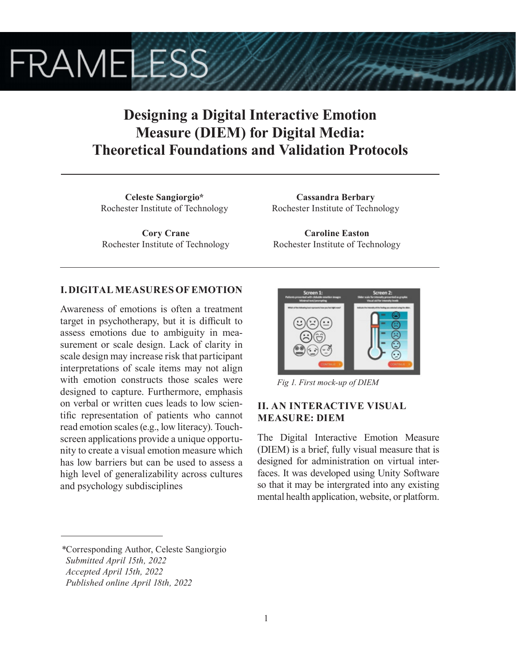# **FRAMELESS**

## **Designing a Digital Interactive Emotion Measure (DIEM) for Digital Media: Theoretical Foundations and Validation Protocols**

**Celeste Sangiorgio\*** Rochester Institute of Technology

**Cory Crane** Rochester Institute of Technology

**Cassandra Berbary** Rochester Institute of Technology

**Caroline Easton** Rochester Institute of Technology

#### **I. DIGITAL MEASURES OF EMOTION**

Awareness of emotions is often a treatment target in psychotherapy, but it is difficult to assess emotions due to ambiguity in measurement or scale design. Lack of clarity in scale design may increase risk that participant interpretations of scale items may not align with emotion constructs those scales were designed to capture. Furthermore, emphasis on verbal or written cues leads to low scientific representation of patients who cannot read emotion scales (e.g., low literacy). Touchscreen applications provide a unique opportunity to create a visual emotion measure which has low barriers but can be used to assess a high level of generalizability across cultures and psychology subdisciplines



*Fig 1. First mock-up of DIEM*

#### **II. AN INTERACTIVE VISUAL MEASURE: DIEM**

The Digital Interactive Emotion Measure (DIEM) is a brief, fully visual measure that is designed for administration on virtual interfaces. It was developed using Unity Software so that it may be intergrated into any existing mental health application, website, or platform.

*<sup>\*</sup>*Corresponding Author, Celeste Sangiorgio

*Submitted April 15th, 2022*

*Accepted April 15th, 2022*

*Published online April 18th, 2022*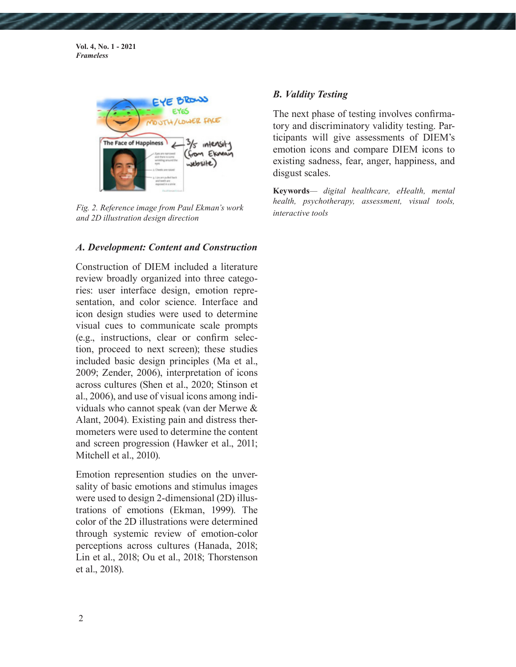**Vol. 4, No. 1 - 2021** *Frameless*



*interactive tools Fig. 2. Reference image from Paul Ekman's work and 2D illustration design direction*

#### *A. Development: Content and Construction*

Construction of DIEM included a literature review broadly organized into three categories: user interface design, emotion representation, and color science. Interface and icon design studies were used to determine visual cues to communicate scale prompts (e.g., instructions, clear or confirm selection, proceed to next screen); these studies included basic design principles (Ma et al., 2009; Zender, 2006), interpretation of icons across cultures (Shen et al., 2020; Stinson et al., 2006), and use of visual icons among individuals who cannot speak (van der Merwe & Alant, 2004). Existing pain and distress thermometers were used to determine the content and screen progression (Hawker et al., 2011; Mitchell et al., 2010).

Emotion represention studies on the unversality of basic emotions and stimulus images were used to design 2-dimensional (2D) illustrations of emotions (Ekman, 1999). The color of the 2D illustrations were determined through systemic review of emotion-color perceptions across cultures (Hanada, 2018; Lin et al., 2018; Ou et al., 2018; Thorstenson et al., 2018).

#### *B. Valdity Testing*

The next phase of testing involves confirmatory and discriminatory validity testing. Participants will give assessments of DIEM's emotion icons and compare DIEM icons to existing sadness, fear, anger, happiness, and disgust scales.

**Keywords***— digital healthcare, eHealth, mental health, psychotherapy, assessment, visual tools,*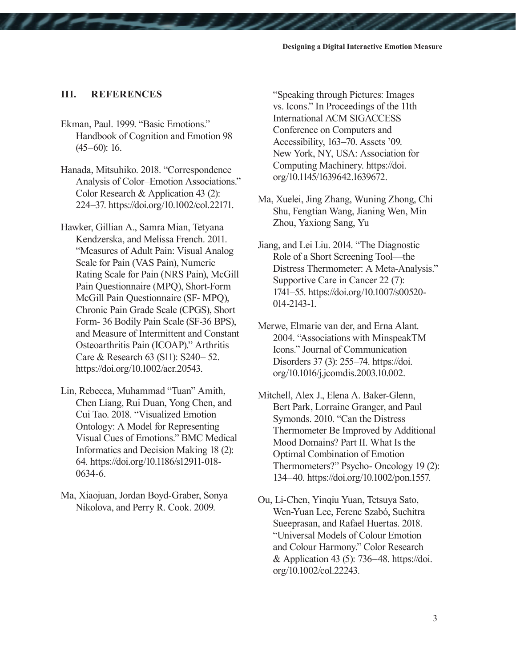#### **III. REFERENCES**

- Ekman, Paul. 1999. "Basic Emotions." Handbook of Cognition and Emotion 98  $(45–60): 16.$
- Hanada, Mitsuhiko. 2018. "Correspondence Analysis of Color–Emotion Associations." Color Research & Application 43 (2): 224–37. https://doi.org/10.1002/col.22171.
- Hawker, Gillian A., Samra Mian, Tetyana Kendzerska, and Melissa French. 2011. "Measures of Adult Pain: Visual Analog Scale for Pain (VAS Pain), Numeric Rating Scale for Pain (NRS Pain), McGill Pain Questionnaire (MPQ), Short-Form McGill Pain Questionnaire (SF- MPQ), Chronic Pain Grade Scale (CPGS), Short Form- 36 Bodily Pain Scale (SF-36 BPS), and Measure of Intermittent and Constant Osteoarthritis Pain (ICOAP)." Arthritis Care & Research 63 (S11): S240– 52. https://doi.org/10.1002/acr.20543.
- Lin, Rebecca, Muhammad "Tuan" Amith, Chen Liang, Rui Duan, Yong Chen, and Cui Tao. 2018. "Visualized Emotion Ontology: A Model for Representing Visual Cues of Emotions." BMC Medical Informatics and Decision Making 18 (2): 64. https://doi.org/10.1186/s12911-018- 0634-6.
- Ma, Xiaojuan, Jordan Boyd-Graber, Sonya Nikolova, and Perry R. Cook. 2009.

"Speaking through Pictures: Images vs. Icons." In Proceedings of the 11th International ACM SIGACCESS Conference on Computers and Accessibility, 163–70. Assets '09. New York, NY, USA: Association for Computing Machinery. https://doi. org/10.1145/1639642.1639672.

- Ma, Xuelei, Jing Zhang, Wuning Zhong, Chi Shu, Fengtian Wang, Jianing Wen, Min Zhou, Yaxiong Sang, Yu
- Jiang, and Lei Liu. 2014. "The Diagnostic Role of a Short Screening Tool—the Distress Thermometer: A Meta-Analysis." Supportive Care in Cancer 22 (7): 1741–55. https://doi.org/10.1007/s00520- 014-2143-1.
- Merwe, Elmarie van der, and Erna Alant. 2004. "Associations with MinspeakTM Icons." Journal of Communication Disorders 37 (3): 255–74. https://doi. org/10.1016/j.jcomdis.2003.10.002.
- Mitchell, Alex J., Elena A. Baker-Glenn, Bert Park, Lorraine Granger, and Paul Symonds. 2010. "Can the Distress Thermometer Be Improved by Additional Mood Domains? Part II. What Is the Optimal Combination of Emotion Thermometers?" Psycho- Oncology 19 (2): 134–40. https://doi.org/10.1002/pon.1557.
- Ou, Li-Chen, Yinqiu Yuan, Tetsuya Sato, Wen-Yuan Lee, Ferenc Szabó, Suchitra Sueeprasan, and Rafael Huertas. 2018. "Universal Models of Colour Emotion and Colour Harmony." Color Research & Application 43 (5): 736–48. https://doi. org/10.1002/col.22243.